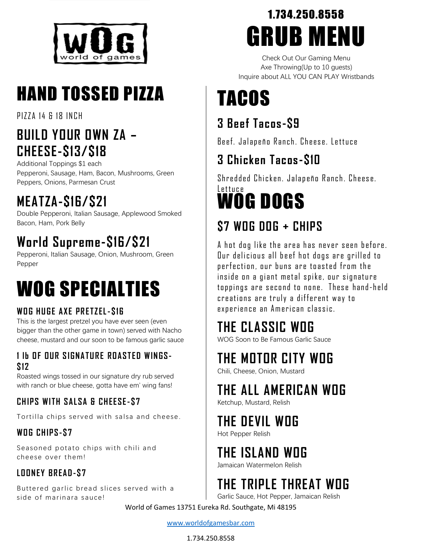

# HAND TOSSED PIZZA

**PIZZA 14 & 18 IN CH** 

#### **BUILD YOUR OWN ZA – CHEESE-\$13/\$18**

Additional Toppings \$1 each Pepperoni, Sausage, Ham, Bacon, Mushrooms, Green Peppers, Onions, Parmesan Crust

### **MEATZA-\$16/\$21**

Double Pepperoni, Italian Sausage, Applewood Smoked Bacon, Ham, Pork Belly

### **World Supreme-\$16/\$21**

Pepperoni, Italian Sausage, Onion, Mushroom, Green Pepper

# WOG SPECIALTIES

#### WOG HUGE AXE PRETZEL-S16

This is the largest pretzel you have ever seen (even bigger than the other game in town) served with Nacho cheese, mustard and our soon to be famous garlic sauce

#### **1 lb O F OUR S I GNA TU R E ROA ST E D W IN GS- \$12**

Roasted wings tossed in our signature dry rub served with ranch or blue cheese, gotta have em' wing fans!

#### **CH IP S WI TH SA LSA & CH EE SE- \$7**

Tortilla chips served with salsa and cheese.

#### **WO G CH IP S-\$ 7**

Seasoned potato chips with chili and cheese over them!

#### **LOON EY BR EA D -\$ 7**

Buttered garlic bread slices served with a side of marinara sauce!

## 1.734.250.8558 GRUB MENU

Check Out Our Gaming Menu Axe Throwing(Up to 10 guests) Inquire about ALL YOU CAN PLAY Wristbands

# TACOS

#### **3 Beef Tacos-\$9**

Beef. Jalapeño Ranch. Cheese. Lettuce

### **3 Chicken Tacos-\$10**

Shredded Chicken. Jalapeño Ranch. Cheese.

#### WOG DOGS Lettuce

### **\$7 WOG DOG + CHIPS**

A hot dog like the area has never seen before. Dur delicious all beef hot dogs are grilled to p erfection, our buns are to asted from the inside on a giant metal spike, our signature toppings are second to none. These hand-held creations are truly a different way to experience an American classic.

### **THE CLASSIC WOG**

WOG Soon to Be Famous Garlic Sauce

### **THE MOTOR CITY WOG**

Chili, Cheese, Onion, Mustard

#### **THE ALL AMERICAN WOG**

Ketchup, Mustard, Relish

### **THE DEVIL WOG**

Hot Pepper Relish

### **THE ISLAND WOG**

Jamaican Watermelon Relish

### **THE TRIPLE THREAT WOG**

Garlic Sauce, Hot Pepper, Jamaican Relish

World of Games 13751 Eureka Rd. Southgate, Mi 48195

#### [www.worldofgamesbar.com](http://www.worldofgamesbar.com/)

#### 1.734.250.8558